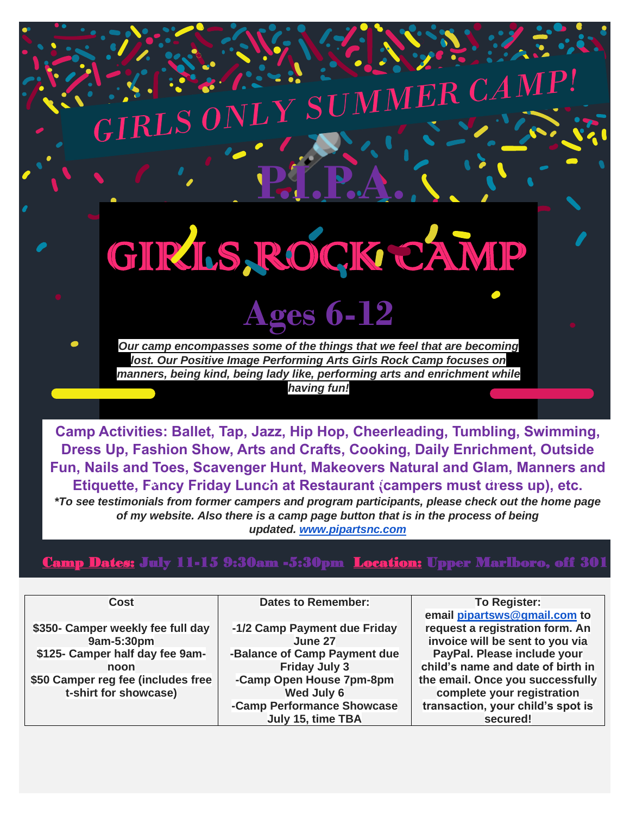## **P.I.P.A.** GIRLS ROCK CAMP

SUM

 $MER~CAM$ 

**Ages 6-12**

*Our camp encompasses some of the things that we feel that are becoming lost. Our Positive Image Performing Arts Girls Rock Camp focuses on manners, being kind, being lady like, performing arts and enrichment while having fun!*

**Camp Activities: Ballet, Tap, Jazz, Hip Hop, Cheerleading, Tumbling, Swimming, Dress Up, Fashion Show, Arts and Crafts, Cooking, Daily Enrichment, Outside Fun, Nails and Toes, Scavenger Hunt, Makeovers Natural and Glam, Manners and Etiquette, Fancy Friday Lunch at Restaurant (campers must dress up), etc.**

*\*To see testimonials from former campers and program participants, please check out the home page of my website. Also there is a camp page button that is in the process of being updated. [www.pipartsnc.com](http://www.pipartsnc.com/)*

## Camp Dates: July 11-15 9:30am -5:30pm Location: Upper Marlboro, off 301

| Cost                               | <b>Dates to Remember:</b>    | To Register:                      |
|------------------------------------|------------------------------|-----------------------------------|
|                                    |                              | email pipartsws@gmail.com to      |
| \$350- Camper weekly fee full day  | -1/2 Camp Payment due Friday | request a registration form. An   |
| 9am-5:30pm                         | June 27                      | invoice will be sent to you via   |
| \$125- Camper half day fee 9am-    | -Balance of Camp Payment due | PayPal. Please include your       |
| noon                               | <b>Friday July 3</b>         | child's name and date of birth in |
| \$50 Camper reg fee (includes free | -Camp Open House 7pm-8pm     | the email. Once you successfully  |
| t-shirt for showcase)              | Wed July 6                   | complete your registration        |
|                                    | -Camp Performance Showcase   | transaction, your child's spot is |
|                                    | July 15, time TBA            | secured!                          |